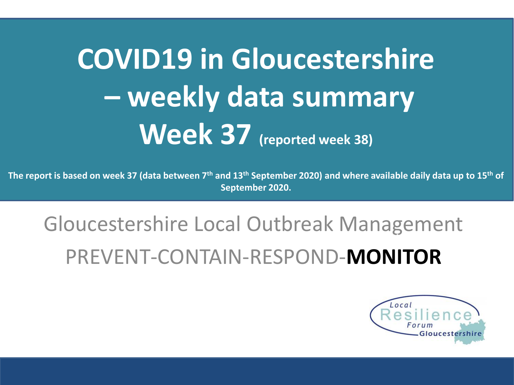# **COVID19 in Gloucestershire – weekly data summary Week 37 (reported week 38)**

**The report is based on week 37 (data between 7th and 13th September 2020) and where available daily data up to 15th of September 2020.** 

### Gloucestershire Local Outbreak Management PREVENT-CONTAIN-RESPOND-**MONITOR** The report is based on week 27 (data between 29 July 2020) and where available data up to  $C$

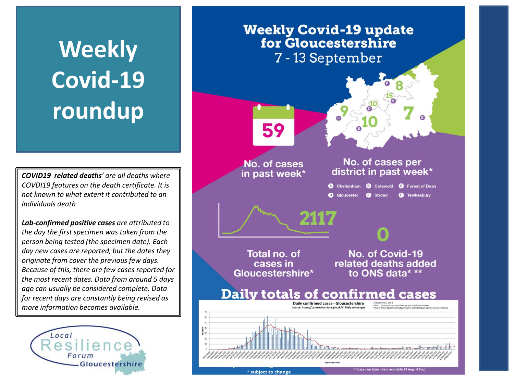# **Weekly Covid-19 roundup**

*COVID19 related deaths' are all deaths where COVDI19 features on the death certificate. It is not known to what extent it contributed to an individuals death*

*Lab-confirmed positive cases are attributed to the day the first specimen was taken from the person being tested (the specimen date). Each day new cases are reported, but the dates they originate from cover the previous few days. Because of this, there are few cases reported for the most recent dates. Data from around 5 days ago can usually be considered complete. Data for recent days are constantly being revised as more information becomes available.*



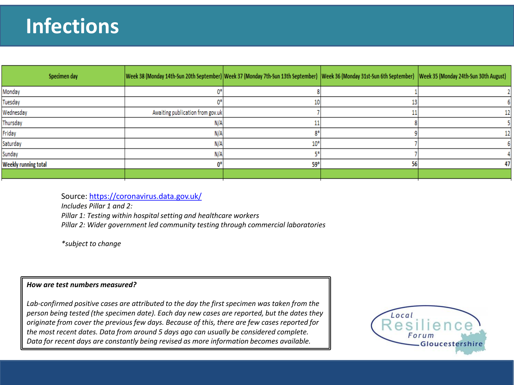### **Infections**

| Specimen day         | Week 38 (Monday 14th-Sun 20th September) Week 37 (Monday 7th-Sun 13th September)  Week 36 (Monday 31st-Sun 6th September)  Week 35 (Monday 24th-Sun 30th August) |       |    |    |
|----------------------|------------------------------------------------------------------------------------------------------------------------------------------------------------------|-------|----|----|
| Monday               |                                                                                                                                                                  |       |    |    |
| Tuesday              |                                                                                                                                                                  |       |    |    |
| Wednesday            | Awaiting publication from gov.uk                                                                                                                                 |       |    |    |
| Thursday             | N/A                                                                                                                                                              |       |    |    |
| Friday               | N/A                                                                                                                                                              |       |    | 12 |
| Saturday             | N/A                                                                                                                                                              | $10*$ |    |    |
| Sunday               | N/A                                                                                                                                                              |       |    |    |
| Weekly running total | ብቶ :                                                                                                                                                             | 59*   | 56 |    |
|                      |                                                                                                                                                                  |       |    |    |

Source:<https://coronavirus.data.gov.uk/>

*Includes Pillar 1 and 2: Pillar 1: Testing within hospital setting and healthcare workers Pillar 2: Wider government led community testing through commercial laboratories*

*\*subject to change*

#### *How are test numbers measured?*

*Lab-confirmed positive cases are attributed to the day the first specimen was taken from the person being tested (the specimen date). Each day new cases are reported, but the dates they originate from cover the previous few days. Because of this, there are few cases reported for the most recent dates. Data from around 5 days ago can usually be considered complete. Data for recent days are constantly being revised as more information becomes available.*

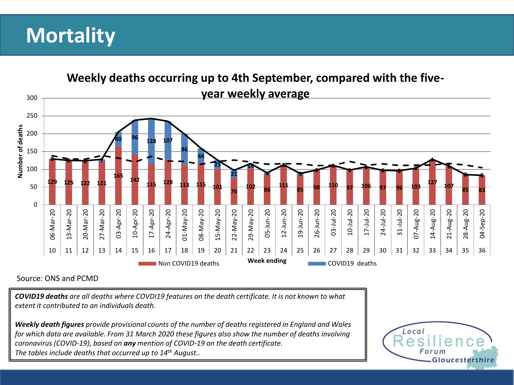### **Mortality**



#### Source: ONS and PCMD

*COVID19 deaths are all deaths where COVDI19 features on the death certificate. It is not known to what extent it contributed to an individuals death.*

*Weekly death figures provide provisional counts of the number of deaths registered in England and Wales for which data are available. From 31 March 2020 these figures also show the number of deaths involving coronavirus (COVID-19), based on any mention of COVID-19 on the death certificate. The tables include deaths that occurred up to 14th August..* 

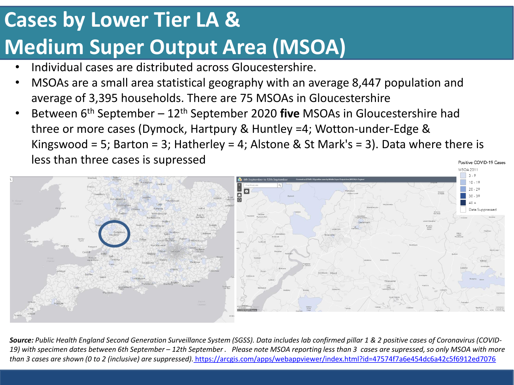## **Cases by Lower Tier LA & Medium Super Output Area (MSOA)**

- Individual cases are distributed across Gloucestershire.
- MSOAs are a small area statistical geography with an average 8,447 population and average of 3,395 households. There are 75 MSOAs in Gloucestershire
- Between 6th September 12th September 2020 **five** MSOAs in Gloucestershire had three or more cases (Dymock, Hartpury & Huntley =4; Wotton-under-Edge & Kingswood = 5; Barton = 3; Hatherley = 4; Alstone & St Mark's = 3). Data where there is less than three cases is supressed Positive COVID-19 Cases



*Source: Public Health England Second Generation Surveillance System (SGSS). Data includes lab confirmed pillar 1 & 2 positive cases of Coronavirus (COVID-19) with specimen dates between 6th September – 12th September . Please note MSOA reporting less than 3 cases are supressed, so only MSOA with more than 3 cases are shown (0 to 2 (inclusive) are suppressed)[.](https://arcgis.com/apps/webappviewer/index.html?id=47574f7a6e454dc6a42c5f6912ed7076)* <https://arcgis.com/apps/webappviewer/index.html?id=47574f7a6e454dc6a42c5f6912ed7076>